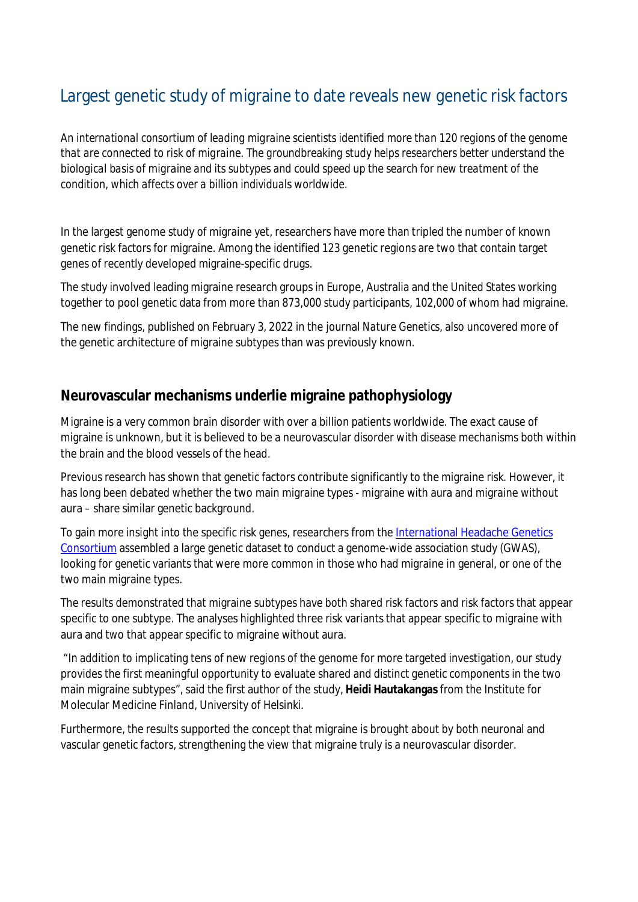# Largest genetic study of migraine to date reveals new genetic risk factors

*An international consortium of leading migraine scientists identified more than 120 regions of the genome that are connected to risk of migraine. The groundbreaking study helps researchers better understand the biological basis of migraine and its subtypes and could speed up the search for new treatment of the condition, which affects over a billion individuals worldwide.*

In the largest genome study of migraine yet, researchers have more than tripled the number of known genetic risk factors for migraine. Among the identified 123 genetic regions are two that contain target genes of recently developed migraine-specific drugs.

The study involved leading migraine research groups in Europe, Australia and the United States working together to pool genetic data from more than 873,000 study participants, 102,000 of whom had migraine.

The new findings, published on February 3, 2022 in the journal *Nature Genetics*, also uncovered more of the genetic architecture of migraine subtypes than was previously known.

### **Neurovascular mechanisms underlie migraine pathophysiology**

Migraine is a very common brain disorder with over a billion patients worldwide. The exact cause of migraine is unknown, but it is believed to be a neurovascular disorder with disease mechanisms both within the brain and the blood vessels of the head.

Previous research has shown that genetic factors contribute significantly to the migraine risk. However, it has long been debated whether the two main migraine types - migraine with aura and migraine without aura – share similar genetic background.

To gain more insight into the specific risk genes, researchers from the [International Headache Genetics](http://www.headachegenetics.org/) [Consortium](http://www.headachegenetics.org/) assembled a large genetic dataset to conduct a genome-wide association study (GWAS), looking for genetic variants that were more common in those who had migraine in general, or one of the two main migraine types.

The results demonstrated that migraine subtypes have both shared risk factors and risk factors that appear specific to one subtype. The analyses highlighted three risk variants that appear specific to migraine with aura and two that appear specific to migraine without aura.

 "In addition to implicating tens of new regions of the genome for more targeted investigation, our study provides the first meaningful opportunity to evaluate shared and distinct genetic components in the two main migraine subtypes", said the first author of the study, **Heidi Hautakangas** from the Institute for Molecular Medicine Finland, University of Helsinki.

Furthermore, the results supported the concept that migraine is brought about by both neuronal and vascular genetic factors, strengthening the view that migraine truly is a neurovascular disorder.